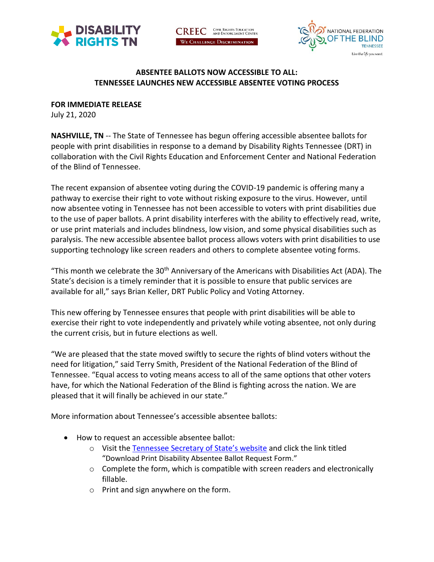

CIVIL RIGHTS EDUCATION<br>AND ENFORCEMENT CENTER **CREEC** WE CHALLENGE DISCRIMINATION



## **ABSENTEE BALLOTS NOW ACCESSIBLE TO ALL: TENNESSEE LAUNCHES NEW ACCESSIBLE ABSENTEE VOTING PROCESS**

**FOR IMMEDIATE RELEASE**

July 21, 2020

**NASHVILLE, TN** -- The State of Tennessee has begun offering accessible absentee ballots for people with print disabilities in response to a demand by Disability Rights Tennessee (DRT) in collaboration with the Civil Rights Education and Enforcement Center and National Federation of the Blind of Tennessee.

The recent expansion of absentee voting during the COVID-19 pandemic is offering many a pathway to exercise their right to vote without risking exposure to the virus. However, until now absentee voting in Tennessee has not been accessible to voters with print disabilities due to the use of paper ballots. A print disability interferes with the ability to effectively read, write, or use print materials and includes blindness, low vision, and some physical disabilities such as paralysis. The new accessible absentee ballot process allows voters with print disabilities to use supporting technology like screen readers and others to complete absentee voting forms.

"This month we celebrate the  $30<sup>th</sup>$  Anniversary of the Americans with Disabilities Act (ADA). The State's decision is a timely reminder that it is possible to ensure that public services are available for all," says Brian Keller, DRT Public Policy and Voting Attorney.

This new offering by Tennessee ensures that people with print disabilities will be able to exercise their right to vote independently and privately while voting absentee, not only during the current crisis, but in future elections as well.

"We are pleased that the state moved swiftly to secure the rights of blind voters without the need for litigation," said Terry Smith, President of the National Federation of the Blind of Tennessee. "Equal access to voting means access to all of the same options that other voters have, for which the National Federation of the Blind is fighting across the nation. We are pleased that it will finally be achieved in our state."

More information about Tennessee's accessible absentee ballots:

- How to request an accessible absentee ballot:
	- o Visit th[e Tennessee Secretary](https://sos.tn.gov/products/elections/absentee-voting) of State's website and click the link titled "Download Print Disability Absentee Ballot Request Form."
	- o Complete the form, which is compatible with screen readers and electronically fillable.
	- o Print and sign anywhere on the form.